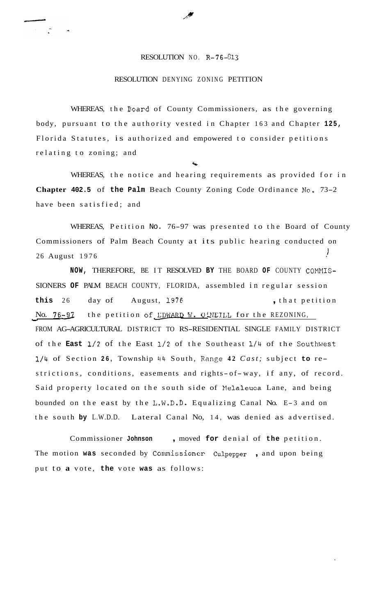## RESOLUTION NO. R-76-813

## RESOLUTION DENYING ZONING PETITION

WHEREAS, the Board of County Commissioners, as the governing body, pursuant to the authority vested in Chapter 163 and Chapter **125,**  Florida Statutes, is authorized and empowered to consider petitions relating to zoning; and

WHEREAS, the notice and hearing requirements as provided for in **Chapter 402.5** of **the Palm** Beach County Zoning Code Ordinance **No.** 73-2 have been satisfied; and

'9.

WHEREAS, Petition No. 76-97 was presented to the Board of County Commissioners of Palm Beach County at its public hearing conducted on 26 August 1976  $\frac{1}{2}$ 

**NOW, THEREFORE, BE IT RESOLVED BY THE BOARD OF COUNTY COMMIS-**SIONERS **OF** PALM BEACH COUNTY, FLORIDA, assembled in regular session **this** 26 day of August, **1976** , that petition this 26 day of August, 1976 , that petition<br>No. 76-97 the petition of **EDWARD W. O'NEILL** for the REZONING, FROM AG-AGRICULTURAL DISTRICT TO RS-RESIDENTIAL SINGLE FAMILY DISTRICT of the **East 1/2** of the East **1/2** of the Southeast **1/4** of the Southwest **1/4** of Section **26,** Township 44 South, Range **42** *Cast;* subject **to** restrictions, conditions, easements and rights- of- way, if any, of record. Said property located on the south side of Nelaleuca Lane, and being bounded on the east by the L.W.D.D. Equalizing Canal No. E-3 and on the south **by** L.W.D.D. Lateral Canal No, 14, was denied as advertised.

Commissioner **Johnson** , moved **for** denial of **the** petition. The motion was seconded by Commissioner Culpepper, and upon being put to **a** vote, **the** vote **was** as follows: